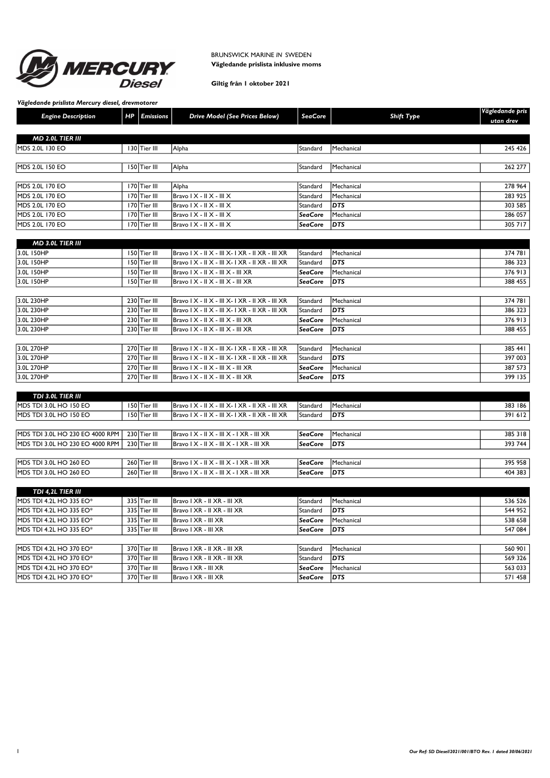

# BRUNSWICK MARINE IN SWEDEN Vägledande prislista inklusive moms

# Giltig från 1 oktober 2021

Vägledande prislista Mercury diesel, drevmotorer

| <b>Engine Description</b> | HP | <b>Emissions</b> | Drive Model (See Prices Below)                          | SeaCore   | Shift Type | Vägledande pris<br>utan drev |
|---------------------------|----|------------------|---------------------------------------------------------|-----------|------------|------------------------------|
| <b>MD 2.0L TIER III</b>   |    |                  |                                                         |           |            |                              |
| <b>IMDS 2.0L 130 EO</b>   |    | 130 Tier III     | Alpha                                                   | Standard  | Mechanical | 245 426                      |
| MDS 2.0L 150 EO           |    | l 50 Tier III    | Alpha                                                   | Standard  | Mechanical | 262 277                      |
| <b>MDS 2.0L 170 EO</b>    |    | 170 Tier III     | Alpha                                                   | lStandard | Mechanical | 278 964                      |
| <b>IMDS 2.0L 170 EO</b>   |    | 170 Tier III     | $\vert$ Bravo   $X - \vert$   $X - \vert$    $X$        | lStandard | Mechanical | 283 925                      |
| <b>IMDS 2.0L 170 EO</b>   |    | 170 Tier III     | $Bravo I X - I I X - III X$                             | Standard  | <b>DTS</b> | 303 585                      |
| <b>MDS 2.0L 170 EO</b>    |    | 170 Tier III     | $Bravo I X - I I X - III X$                             | SeaCore   | Mechanical | 286 057                      |
| MDS 2.0L 170 EO           |    | 170 Tier III     | $\vert$ Bravo $\vert$ X - $\vert$ X - $\vert$ $\vert$ X | SeaCore   | <b>DTS</b> | 305 717                      |

| <b>MD 3.0L TIER III</b> |                |                                                 |                |                   |         |
|-------------------------|----------------|-------------------------------------------------|----------------|-------------------|---------|
| 3.0L 150HP              | 150 Tier III   | Bravo   X - II X - III X- I XR - II XR - III XR | Standard       | Mechanical        | 374 781 |
| 3.0L 150HP              | 150   Tier III | Bravo   X -    X -     X-   XR -    XR -     XR | l Standard     | <b>DTS</b>        | 386 323 |
| 3.0L 150HP              | 150 Tier III   | Bravo   X -    X -     X -     XR               | <b>SeaCore</b> | Mechanical        | 376 913 |
| 3.0L 150HP              | 150   Tier III | Bravo   X -    X -     X -     XR               | SeaCore        | <b>DTS</b>        | 388 455 |
|                         |                |                                                 |                |                   |         |
| 3.0L 230HP              | 230 Tier III   | Bravo   X - II X - III X- I XR - II XR - III XR | Standard       | Mechanical        | 374 781 |
| 3.0L 230HP              | 230 Tier III   | Bravo   X -    X -     X-   XR -    XR -     XR | l Standard     | <b>DTS</b>        | 386 323 |
| 3.0L 230HP              | 230 Tier III   | Bravo   X -    X -     X -     XR               | SeaCore        | Mechanical        | 376 913 |
| 3.0L 230HP              | 230 Tier III   | Bravo   X -    X -     X -     XR               | SeaCore        | <b>IDTS</b>       | 388 455 |
|                         |                |                                                 |                |                   |         |
| 3.0L 270HP              | 270 Tier III   | $ Bravo X -   X -   X -  XR -   XR -   XR$      | Standard       | Mechanical        | 385 441 |
| 3.0L 270HP              | 270 Tier III   | Bravo   X -    X -     X-   XR -    XR -     XR | l Standard     | <b>DTS</b>        | 397 003 |
| 3.0L 270HP              | 270 Tier III   | Bravo   X -    X -     X -     XR               | SeaCore        | <b>Mechanical</b> | 387 573 |
| 3.0L 270HP              | 270 Tier III   | Bravo   X -    X -     X -     XR               | SeaCore        | <b>IDTS</b>       | 399 135 |

| TDI 3.0L TIER III               |              |                                                         |                 |              |         |
|---------------------------------|--------------|---------------------------------------------------------|-----------------|--------------|---------|
| <b>IMDS TDI 3.0L HO 150 EO</b>  | 150 Tier III | $\vert$ Bravo   X - II X - III X- I XR - II XR - III XR | <b>Standard</b> | l Mechanical | 383 186 |
| <b>IMDS TDI 3.0L HO 150 EO</b>  | 150 Tier III | $ Brawo X -   X -   X -  XR -   XR -   XR$              | <b>Standard</b> | IDTS         | 391 612 |
|                                 |              |                                                         |                 |              |         |
| MDS TDI 3.0L HO 230 EO 4000 RPM | 230 Tier III | $\vert$ Bravo   X -    X -    X -   XR -     XR         | l Sea Core      | l Mechanical | 385 318 |
| MDS TDI 3.0L HO 230 EO 4000 RPM | 230 Tier III | $ Bravo X -   X -   X -  XR -   XR$                     | SeaCore         | <b>IDTS</b>  | 393 744 |
|                                 |              |                                                         |                 |              |         |
| <b>IMDS TDI 3.0L HO 260 EO</b>  | 260 Tier III | $\vert$ Bravo   X -    X -    X -   XR -     XR         | l Sea Core      | l Mechanical | 395 958 |
| <b>IMDS TDI 3.0L HO 260 EO</b>  | 260 Tier III | $\vert$ Bravo   X -    X -    X -   XR -     XR         | SeaCore         | <b>IDTS</b>  | 404 383 |

| TDI 4,2L TIER III               |              |                             |                 |              |         |
|---------------------------------|--------------|-----------------------------|-----------------|--------------|---------|
| IMDS TDI 4.2L HO 335 EO*        | 335 Tier III | Bravo I XR - II XR - III XR | Standard        | l Mechanical | 536 526 |
| <b>IMDS TDI 4.2L HO 335 EO*</b> | 335 Tier III | Bravo I XR - II XR - III XR | l Standard      | <b>DTS</b>   | 544 952 |
| <b>IMDS TDI 4.2L HO 335 EO*</b> | 335 Tier III | Bravo I XR - III XR         | SeaCore         | Mechanical   | 538 658 |
| <b>IMDS TDI 4.2L HO 335 EO*</b> | 335 Tier III | Bravo I XR - III XR         | SeaCore         | <b>IDTS</b>  | 547 084 |
|                                 |              |                             |                 |              |         |
| <b>IMDS TDI 4.2L HO 370 EO*</b> | 370 Tier III | Bravo I XR - II XR - III XR | Standard        | l Mechanical | 560 901 |
| <b>IMDS TDI 4.2L HO 370 EO*</b> | 370 Tier III | Bravo I XR - II XR - III XR | <b>Standard</b> | <b>IDTS</b>  | 569 326 |
| <b>IMDS TDI 4.2L HO 370 EO*</b> | 370 Tier III | Bravo I XR - III XR         | SeaCore         | l Mechanical | 563 033 |
| <b>IMDS TDI 4.2L HO 370 EO*</b> | 370 Tier III | Bravo I XR - III XR         | SeaCore         | <b>IDTS</b>  | 571 458 |